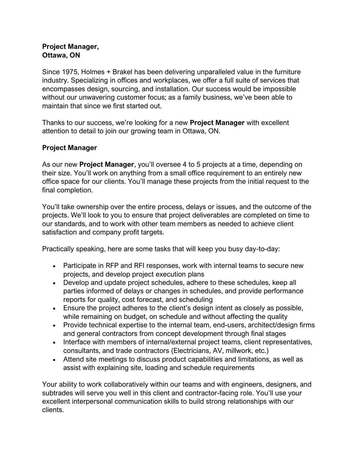## **Project Manager, Ottawa, ON**

Since 1975, Holmes + Brakel has been delivering unparalleled value in the furniture industry. Specializing in offices and workplaces, we offer a full suite of services that encompasses design, sourcing, and installation. Our success would be impossible without our unwavering customer focus; as a family business, we've been able to maintain that since we first started out.

Thanks to our success, we're looking for a new **Project Manager** with excellent attention to detail to join our growing team in Ottawa, ON.

## **Project Manager**

As our new **Project Manager**, you'll oversee 4 to 5 projects at a time, depending on their size. You'll work on anything from a small office requirement to an entirely new office space for our clients. You'll manage these projects from the initial request to the final completion.

You'll take ownership over the entire process, delays or issues, and the outcome of the projects. We'll look to you to ensure that project deliverables are completed on time to our standards, and to work with other team members as needed to achieve client satisfaction and company profit targets.

Practically speaking, here are some tasks that will keep you busy day-to-day:

- Participate in RFP and RFI responses, work with internal teams to secure new projects, and develop project execution plans
- Develop and update project schedules, adhere to these schedules, keep all parties informed of delays or changes in schedules, and provide performance reports for quality, cost forecast, and scheduling
- Ensure the project adheres to the client's design intent as closely as possible, while remaining on budget, on schedule and without affecting the quality
- Provide technical expertise to the internal team, end-users, architect/design firms and general contractors from concept development through final stages
- Interface with members of internal/external project teams, client representatives, consultants, and trade contractors (Electricians, AV, millwork, etc.)
- Attend site meetings to discuss product capabilities and limitations, as well as assist with explaining site, loading and schedule requirements

Your ability to work collaboratively within our teams and with engineers, designers, and subtrades will serve you well in this client and contractor-facing role. You'll use your excellent interpersonal communication skills to build strong relationships with our clients.